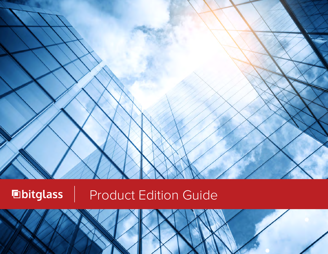

**E**bitglass Product Edition Guide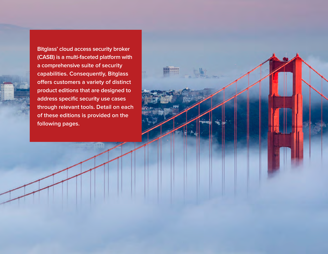**Bitglass' cloud access security broker (CASB) is a multi-faceted platform with a comprehensive suite of security capabilities. Consequently, Bitglass offers customers a variety of distinct product editions that are designed to address specific security use cases through relevant tools. Detail on each of these editions is provided on the following pages.**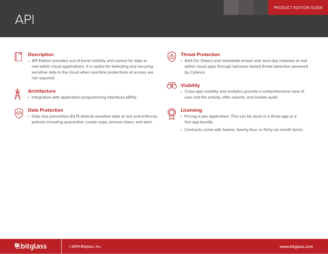#### **Description**

• API Edition provides out-of-band visibility and control for data at rest within cloud applications. It is useful for detecting and securing sensitive data in the cloud when real-time protections at access are not required.

#### **Architecture**

 $\langle \gamma \rangle$ 

• Integration with application programming interfaces (APIs).

#### **Data Protection**

• Data loss prevention (DLP) detects sensitive data at rest and enforces policies including quarantine, create copy, remove share, and alert.

### **Threat Protection**

• Add-On: Detect and remediate known and zero-day malware at rest within cloud apps through behavior-based threat detection powered by Cylance.



 $\triangle$ 

#### **Visibility**

• Cross-app visibility and analytics provide a comprehensive view of user and file activity, offer reports, and enable audit.

| Licen: |
|--------|
| Pricir |

- Pricing is per application. This can be done in a three-app or a five-app bundle.
- Contracts come with twelve, twenty-four, or thirty-six month terms.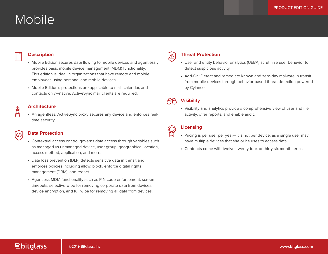# Mobile

#### **Description**

# • Mobile Edition secures data flowing to mobile devices and agentlessly

- provides basic mobile device management (MDM) functionality. This edition is ideal in organizations that have remote and mobile employees using personal and mobile devices.
- Mobile Edition's protections are applicable to mail, calendar, and contacts only—native, ActiveSync mail clients are required.

#### **Architecture**

• An agentless, ActiveSync proxy secures any device and enforces realtime security.

#### **Data Protection**

|</>

- Contextual access control governs data access through variables such as managed vs unmanaged device, user group, geographical location, access method, application, and more.
- Data loss prevention (DLP) detects sensitive data in transit and enforces policies including allow, block, enforce digital rights management (DRM), and redact.
- Agentless MDM functionality such as PIN code enforcement, screen timeouts, selective wipe for removing corporate data from devices, device encryption, and full wipe for removing all data from devices.

### **Threat Protection**

- User and entity behavior analytics (UEBA) scrutinize user behavior to detect suspicious activity.
- Add-On: Detect and remediate known and zero-day malware in transit from mobile devices through behavior-based threat detection powered by Cylance.

### **Visibility**

 $\Delta$ 

• Visibility and analytics provide a comprehensive view of user and file activity, offer reports, and enable audit.

- Pricing is per user per year—it is not per device, as a single user may have multiple devices that she or he uses to access data.
	- Contracts come with twelve, twenty-four, or thirty-six month terms.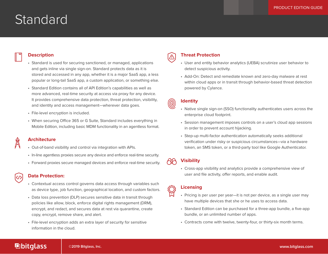# Standard

#### **Description**

- Standard is used for securing sanctioned, or managed, applications and gets inline via single sign-on. Standard protects data as it is stored and accessed in any app, whether it is a major SaaS app, a less popular or long-tail SaaS app, a custom application, or something else.
- Standard Edition contains all of API Edition's capabilities as well as more advanced, real-time security at access via proxy for any device. It provides comprehensive data protection, threat protection, visibility, and identity and access management—wherever data goes.
- File-level encryption is included.
- When securing Office 365 or G Suite, Standard includes everything in Mobile Edition, including basic MDM functionality in an agentless format.

#### **Architecture**

- Out-of-band visibility and control via integration with APIs.
- In-line agentless proxies secure any device and enforce real-time security.
- Forward proxies secure managed devices and enforce real-time security.

#### **Data Protection:**

 $\langle \rangle$ 

- Contextual access control governs data access through variables such as device type, job function, geographical location, and custom factors.
- Data loss prevention (DLP) secures sensitive data in transit through policies like allow, block, enforce digital rights management (DRM), encrypt, and redact, and secures data at rest via quarantine, create copy, encrypt, remove share, and alert.
- File-level encryption adds an extra layer of security for sensitive information in the cloud.

#### **Threat Protection**

- User and entity behavior analytics (UEBA) scrutinize user behavior to detect suspicious activity.
- Add-On: Detect and remediate known and zero-day malware at rest within cloud apps or in transit through behavior-based threat detection powered by Cylance.

#### **Identity**

 $\bigwedge$ 

 $\left( 0\right)$ 

∕¥

- Native single sign-on (SSO) functionality authenticates users across the enterprise cloud footprint.
- Session management imposes controls on a user's cloud app sessions in order to prevent account hijacking.
- Step-up multi-factor authentication automatically seeks additional verification under risky or suspicious circumstances—via a hardware token, an SMS token, or a third-party tool like Google Authenticator.

#### **Visibility**

• Cross-app visibility and analytics provide a comprehensive view of user and file activity, offer reports, and enable audit.

#### **Licensing**

- Pricing is per user per year—it is not per device, as a single user may have multiple devices that she or he uses to access data.
- Standard Edition can be purchased for a three-app bundle, a five-app bundle, or an unlimited number of apps.
- Contracts come with twelve, twenty-four, or thirty-six month terms.

## **E**bitglass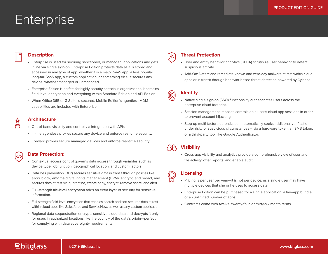# **Enterprise**

#### **Description**

- Enterprise is used for securing sanctioned, or managed, applications and gets inline via single sign-on. Enterprise Edition protects data as it is stored and accessed in any type of app, whether it is a major SaaS app, a less popular long-tail SaaS app, a custom application, or something else. It secures any device, whether managed or unmanaged.
- Enterprise Edition is perfect for highly security conscious organizations. It contains field-level encryption and everything within Standard Edition and API Edition.
- When Office 365 or G Suite is secured, Mobile Edition's agentless MDM capabilities are included with Enterprise.

#### **Architecture**

- Out-of-band visibility and control via integration with APIs.
- In-line agentless proxies secure any device and enforce real-time security.
- Forward proxies secure managed devices and enforce real-time security.

#### **Data Protection:**

 $|<\rangle$ 

- Contextual access control governs data access through variables such as device type, job function, geographical location, and custom factors.
- Data loss prevention (DLP) secures sensitive data in transit through policies like allow, block, enforce digital rights management (DRM), encrypt, and redact, and secures data at rest via quarantine, create copy, encrypt, remove share, and alert.
- Full-strength file-level encryption adds an extra layer of security for sensitive information.
- Full-strength field-level encryption that enables search and sort secures data at rest within cloud apps like Salesforce and ServiceNow, as well as any custom application.
- Regional data sequestration encrypts sensitive cloud data and decrypts it only for users in authorized locations like the country of the data's origin—perfect for complying with data sovereignty requirements.

#### **Threat Protection**

- User and entity behavior analytics (UEBA) scrutinize user behavior to detect suspicious activity.
- Add-On: Detect and remediate known and zero-day malware at rest within cloud apps or in transit through behavior-based threat detection powered by Cylance.

#### **Identity**

 $\bigwedge$ 

0

- Native single sign-on (SSO) functionality authenticates users across the enterprise cloud footprint.
- Session management imposes controls on a user's cloud app sessions in order to prevent account hijacking.
- Step-up multi-factor authentication automatically seeks additional verification under risky or suspicious circumstances – via a hardware token, an SMS token, or a third-party tool like Google Authenticator.

### **Visibility**

• Cross-app visibility and analytics provide a comprehensive view of user and file activity, offer reports, and enable audit.

#### **Licensing**

- Pricing is per user per year—it is not per device, as a single user may have multiple devices that she or he uses to access data.
- Enterprise Edition can be purchased for a single application, a five-app bundle, or an unlimited number of apps.
- Contracts come with twelve, twenty-four, or thirty-six month terms.

## **E**bitglass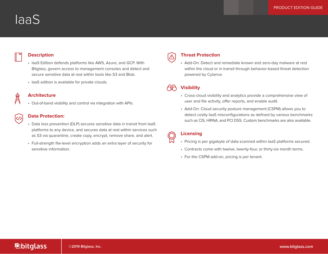# IaaS

#### **Description**

- IaaS Edition defends platforms like AWS, Azure, and GCP. With Bitglass, govern access to management consoles and detect and secure sensitive data at rest within tools like S3 and Blob.
- IaaS edition is available for private clouds.



#### **Architecture**

• Out-of-band visibility and control via integration with APIs.

## $\ket{\zeta/}$

#### **Data Protection:**

- Data loss prevention (DLP) secures sensitive data in transit from IaaS platforms to any device, and secures data at rest within services such as S3 via quarantine, create copy, encrypt, remove share, and alert.
- Full-strength file-level encryption adds an extra layer of security for sensitive information.

#### **Threat Protection**

• Add-On: Detect and remediate known and zero-day malware at rest within the cloud or in transit through behavior-based threat detection powered by Cylance.

### **Visibility**

 $\bigwedge$ 

- Cross-cloud visibility and analytics provide a comprehensive view of user and file activity, offer reports, and enable audit.
- Add-On: Cloud security posture management (CSPM) allows you to detect costly IaaS misconfigurations as defined by various benchmarks such as CIS, HIPAA, and PCI DSS. Custom benchmarks are also available.

- Pricing is per gigabyte of data scanned within IaaS platforms secured.
- Contracts come with twelve, twenty-four, or thirty-six month terms.
- For the CSPM add-on, pricing is per tenant.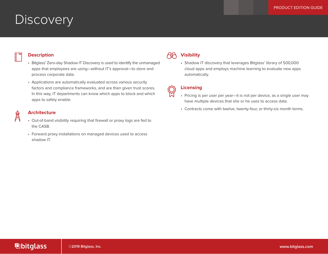# **Discovery**

#### **Description**

- Bitglass' Zero-day Shadow IT Discovery is used to identify the unmanaged apps that employees are using—without IT's approval—to store and process corporate data.
- Applications are automatically evaluated across various security factors and compliance frameworks, and are then given trust scores. In this way, IT departments can know which apps to block and which apps to safely enable.

#### **Architecture**

- Out-of-band visibility requiring that firewall or proxy logs are fed to the CASB.
- Forward proxy installations on managed devices used to access shadow IT.

#### **AA Visibility**

• Shadow IT discovery that leverages Bitglass' library of 500,000 cloud apps and employs machine learning to evaluate new apps automatically.

- Pricing is per user per year—it is not per device, as a single user may have multiple devices that she or he uses to access data.
	- Contracts come with twelve, twenty-four, or thirty-six month terms.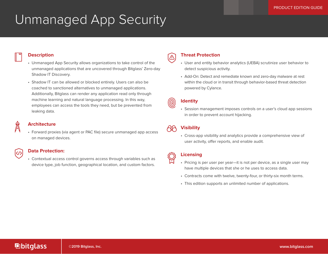# Unmanaged App Security



 $| \langle \mathcal{V} \rangle$ 

#### **Description**

- Unmanaged App Security allows organizations to take control of the unmanaged applications that are uncovered through Bitglass' Zero-day Shadow IT Discovery.
- Shadow IT can be allowed or blocked entirely. Users can also be coached to sanctioned alternatives to unmanaged applications. Additionally, Bitglass can render any application read only through machine learning and natural language processing. In this way, employees can access the tools they need, but be prevented from leaking data.

#### **Architecture**

• Forward proxies (via agent or PAC file) secure unmanaged app access on managed devices.

#### **Data Protection:**

• Contextual access control governs access through variables such as device type, job function, geographical location, and custom factors.

#### **Threat Protection**

- User and entity behavior analytics (UEBA) scrutinize user behavior to detect suspicious activity.
- Add-On: Detect and remediate known and zero-day malware at rest within the cloud or in transit through behavior-based threat detection powered by Cylance.

#### **Identity**

 $\triangle$ 

(0)

• Session management imposes controls on a user's cloud app sessions in order to prevent account hijacking.

#### **Visibility AF**

• Cross-app visibility and analytics provide a comprehensive view of user activity, offer reports, and enable audit.

- Pricing is per user per year—it is not per device, as a single user may have multiple devices that she or he uses to access data.
- Contracts come with twelve, twenty-four, or thirty-six month terms.
- This edition supports an unlimited number of applications.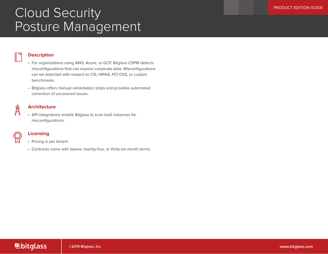# **Cloud Security Constant Security Cloud Security** Posture Management

#### **Description**

- For organizations using AWS, Azure, or GCP, Bitglass CSPM detects misconfigurations that can expose corporate data. Misconfigurations can be detected with respect to CIS, HIPAA, PCI DSS, or custom benchmarks.
- Bitglass offers manual remediation steps and provides automated correction of uncovered issues.

#### **Architecture**

• API integrations enable Bitglass to scan IaaS instances for misconfigurations.



- Pricing is per tenant.
- Contracts come with twelve, twenty-four, or thirty-six month terms.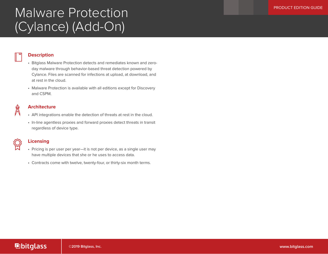# Malware Protection (Cylance) (Add-On)

#### **Description**

- Bitglass Malware Protection detects and remediates known and zeroday malware through behavior-based threat detection powered by Cylance. Files are scanned for infections at upload, at download, and at rest in the cloud.
- Malware Protection is available with all editions except for Discovery and CSPM.

### **Architecture**

- API integrations enable the detection of threats at rest in the cloud.
- In-line agentless proxies and forward proxies detect threats in transit regardless of device type.

- Pricing is per user per year—it is not per device, as a single user may have multiple devices that she or he uses to access data.
	- Contracts come with twelve, twenty-four, or thirty-six month terms.